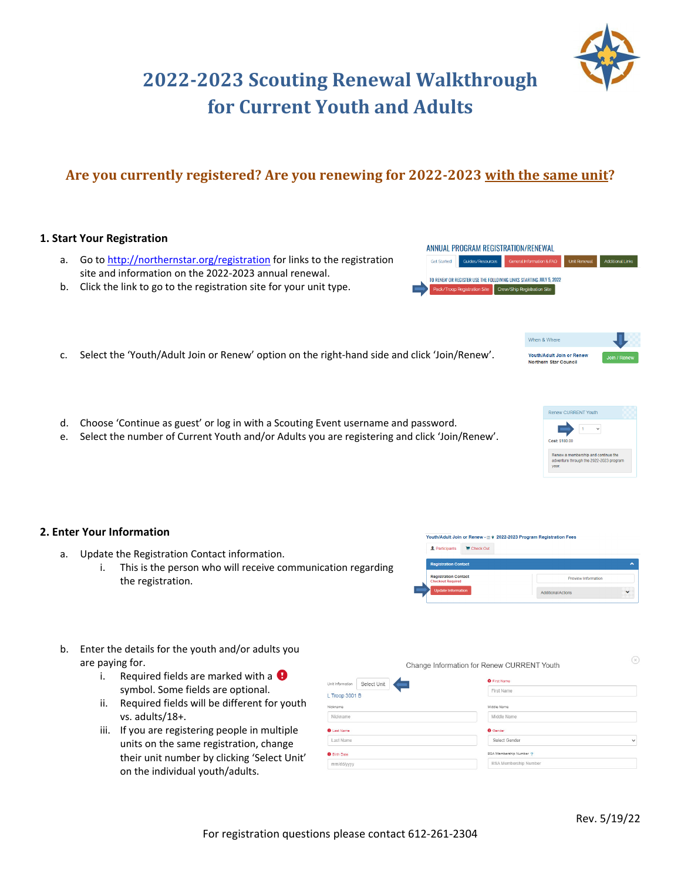## For registration questions please contact 612‐261‐2304

# **2022‐2023 Scouting Renewal Walkthrough for Current Youth and Adults**

# **Are you currently registered? Are you renewing for 2022‐2023 with the same unit?**

### **1. Start Your Registration**

- a. Go to http://northernstar.org/registration for links to the registration site and information on the 2022‐2023 annual renewal.
- b. Click the link to go to the registration site for your unit type.
- c. Select the 'Youth/Adult Join or Renew' option on the right-hand side and click 'Join/Renew'.
- d. Choose 'Continue as guest' or log in with a Scouting Event username and password.
- e. Select the number of Current Youth and/or Adults you are registering and click 'Join/Renew'.

#### **2. Enter Your Information**

- a. Update the Registration Contact information.
	- i. This is the person who will receive communication regarding the registration.
- b. Enter the details for the youth and/or adults you are paying for.
	- i. Required fields are marked with a  $\bigoplus$ symbol. Some fields are optional.
	- ii. Required fields will be different for youth vs. adults/18+.
	- iii. If you are registering people in multiple units on the same registration, change their unit number by clicking 'Select Unit' on the individual youth/adults.

|                               | Change Information for Renew CURRENT Youth | ≌            |
|-------------------------------|--------------------------------------------|--------------|
| Select Unit<br>it Information | <b>O</b> First Name                        |              |
| <b>Troop 3001 B</b>           | First Name                                 |              |
| skname                        | Middle Name                                |              |
| Nickname                      | Middle Name                                |              |
| Last Name                     | <b>O</b> Gender                            |              |
| Last Name                     | Select Gender                              | $\checkmark$ |
| Birth Date                    | BSA Membership Number ?                    |              |
| mm/dd/yyyy                    | <b>BSA Membership Number</b>               |              |

Youth/Adult Join or Renew - m 9 2022-2023 Program Registration Fees

Participants E Check Out



Preview Informatio

Additional Actions





Rev. 5/19/22